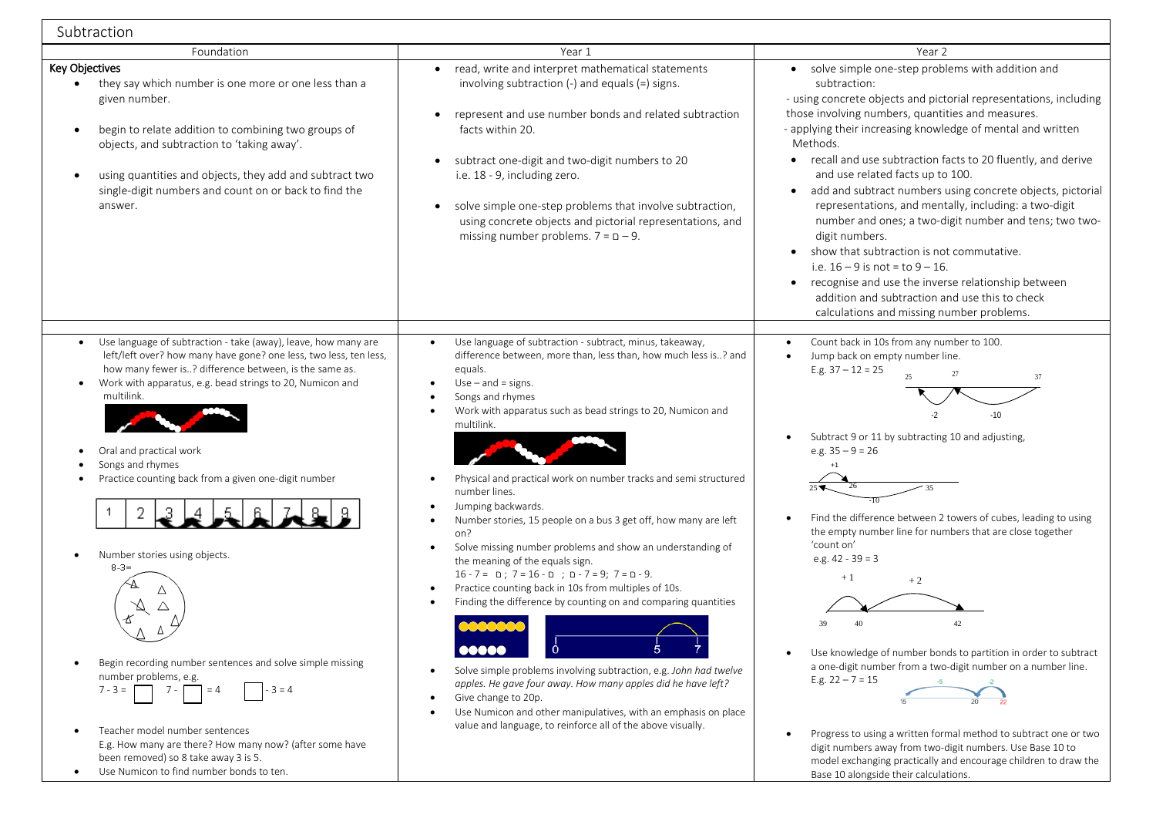| Subtraction                                                                                                                                                                                                                                                                                                                                                                                                                                                                                                                                                                                                                                                                                                         |                                                                                                                                                                                                                                                                                                                                                                                                                                                                                                                                                                                                                                                                                                                                                                                                                                                                                                                                                                                                                                                         |                                                                                                                                                                                                                                                                                                                                                                                                                                                                                                                                                                                                                                                                                                                                                                                                                                          |
|---------------------------------------------------------------------------------------------------------------------------------------------------------------------------------------------------------------------------------------------------------------------------------------------------------------------------------------------------------------------------------------------------------------------------------------------------------------------------------------------------------------------------------------------------------------------------------------------------------------------------------------------------------------------------------------------------------------------|---------------------------------------------------------------------------------------------------------------------------------------------------------------------------------------------------------------------------------------------------------------------------------------------------------------------------------------------------------------------------------------------------------------------------------------------------------------------------------------------------------------------------------------------------------------------------------------------------------------------------------------------------------------------------------------------------------------------------------------------------------------------------------------------------------------------------------------------------------------------------------------------------------------------------------------------------------------------------------------------------------------------------------------------------------|------------------------------------------------------------------------------------------------------------------------------------------------------------------------------------------------------------------------------------------------------------------------------------------------------------------------------------------------------------------------------------------------------------------------------------------------------------------------------------------------------------------------------------------------------------------------------------------------------------------------------------------------------------------------------------------------------------------------------------------------------------------------------------------------------------------------------------------|
| Foundation                                                                                                                                                                                                                                                                                                                                                                                                                                                                                                                                                                                                                                                                                                          | Year 1                                                                                                                                                                                                                                                                                                                                                                                                                                                                                                                                                                                                                                                                                                                                                                                                                                                                                                                                                                                                                                                  | Year 2                                                                                                                                                                                                                                                                                                                                                                                                                                                                                                                                                                                                                                                                                                                                                                                                                                   |
| Key Objectives<br>they say which number is one more or one less than a<br>$\bullet$<br>given number.<br>begin to relate addition to combining two groups of<br>objects, and subtraction to 'taking away'.<br>using quantities and objects, they add and subtract two<br>single-digit numbers and count on or back to find the<br>answer.                                                                                                                                                                                                                                                                                                                                                                            | read, write and interpret mathematical statements<br>involving subtraction $(-)$ and equals $(=)$ signs.<br>represent and use number bonds and related subtraction<br>facts within 20.<br>subtract one-digit and two-digit numbers to 20<br>i.e. 18 - 9, including zero.<br>solve simple one-step problems that involve subtraction,<br>using concrete objects and pictorial representations, and<br>missing number problems. $7 = D - 9$ .                                                                                                                                                                                                                                                                                                                                                                                                                                                                                                                                                                                                             | • solve simple one-step problems with addition and<br>subtraction:<br>- using concrete objects and pictorial representations, including<br>those involving numbers, quantities and measures.<br>- applying their increasing knowledge of mental and written<br>Methods.<br>• recall and use subtraction facts to 20 fluently, and derive<br>and use related facts up to 100.<br>add and subtract numbers using concrete objects, pictorial<br>$\bullet$<br>representations, and mentally, including: a two-digit<br>number and ones; a two-digit number and tens; two two-<br>digit numbers.<br>show that subtraction is not commutative.<br>i.e. $16 - 9$ is not = to $9 - 16$ .<br>• recognise and use the inverse relationship between<br>addition and subtraction and use this to check<br>calculations and missing number problems. |
| Use language of subtraction - take (away), leave, how many are<br>left/left over? how many have gone? one less, two less, ten less,<br>how many fewer is? difference between, is the same as.<br>Work with apparatus, e.g. bead strings to 20, Numicon and<br>multilink.<br>Oral and practical work<br>$\bullet$<br>Songs and rhymes<br>Practice counting back from a given one-digit number<br>2<br>Number stories using objects.<br>$8 - 3 =$<br>Begin recording number sentences and solve simple missing<br>number problems, e.g.<br>$-3=4$<br>$7 - 3 =$<br>$7 -$<br>$= 4$<br>Teacher model number sentences<br>E.g. How many are there? How many now? (after some have<br>been removed) so 8 take away 3 is 5. | Use language of subtraction - subtract, minus, takeaway,<br>difference between, more than, less than, how much less is? and<br>equals.<br>$Use - and = signs.$<br>Songs and rhymes<br>Work with apparatus such as bead strings to 20, Numicon and<br>multilink.<br>Physical and practical work on number tracks and semi structured<br>number lines.<br>Jumping backwards.<br>Number stories, 15 people on a bus 3 get off, how many are left<br>on?<br>Solve missing number problems and show an understanding of<br>the meaning of the equals sign.<br>$16 - 7 = 0$ ; $7 = 16 - 0$ ; $D - 7 = 9$ ; $7 = D - 9$ .<br>Practice counting back in 10s from multiples of 10s.<br>Finding the difference by counting on and comparing quantities<br>Ò<br>00000<br>Solve simple problems involving subtraction, e.g. John had twelve<br>apples. He gave four away. How many apples did he have left?<br>Give change to 20p.<br>Use Numicon and other manipulatives, with an emphasis on place<br>value and language, to reinforce all of the above visually. | Count back in 10s from any number to 100.<br>$\bullet$<br>Jump back on empty number line.<br>$\bullet$<br>E.g. $37 - 12 = 25$<br>27<br>37<br>$-10$<br>Subtract 9 or 11 by subtracting 10 and adjusting,<br>e.g. $35 - 9 = 26$<br>Find the difference between 2 towers of cubes, leading to using<br>the empty number line for numbers that are close together<br>'count on'<br>e.g. $42 - 39 = 3$<br>$+1$<br>$+2$<br>42<br>Use knowledge of number bonds to partition in order to subtract<br>a one-digit number from a two-digit number on a number line.<br>E.g. $22 - 7 = 15$<br>Progress to using a written formal method to subtract one or two<br>$\bullet$<br>digit numbers away from two-digit numbers. Use Base 10 to                                                                                                           |

Base 10 alongside their calculations.